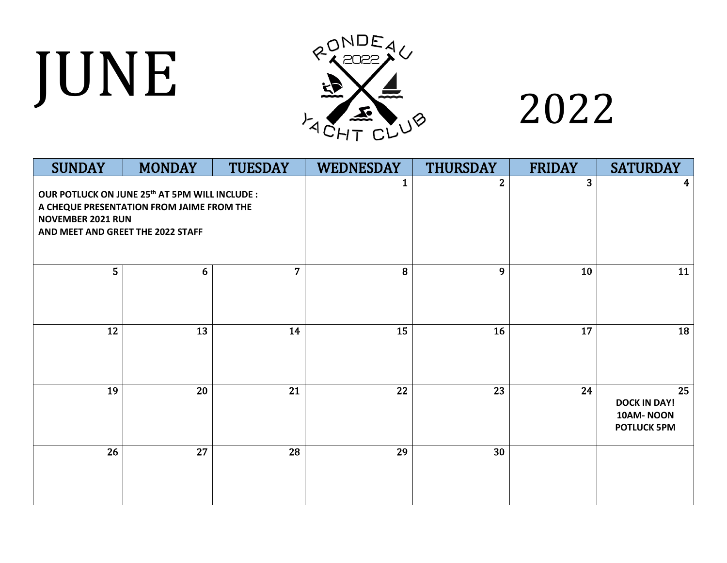## JUNE



| <b>SUNDAY</b>                                                                                                                                                            | <b>MONDAY</b> | <b>TUESDAY</b> | <b>WEDNESDAY</b> | <b>THURSDAY</b> | <b>FRIDAY</b>           | <b>SATURDAY</b>                                              |
|--------------------------------------------------------------------------------------------------------------------------------------------------------------------------|---------------|----------------|------------------|-----------------|-------------------------|--------------------------------------------------------------|
| OUR POTLUCK ON JUNE 25 <sup>th</sup> AT 5PM WILL INCLUDE :<br>A CHEQUE PRESENTATION FROM JAIME FROM THE<br><b>NOVEMBER 2021 RUN</b><br>AND MEET AND GREET THE 2022 STAFF |               |                | 1                | $\overline{2}$  | $\overline{\mathbf{3}}$ | 4                                                            |
| 5                                                                                                                                                                        | 6             | 7 <sup>1</sup> | 8                | 9               | 10                      | 11                                                           |
| 12                                                                                                                                                                       | 13            | 14             | 15               | 16              | 17                      | 18                                                           |
| 19                                                                                                                                                                       | 20            | 21             | 22               | 23              | 24                      | 25<br><b>DOCK IN DAY!</b><br>10AM-NOON<br><b>POTLUCK 5PM</b> |
| 26                                                                                                                                                                       | 27            | 28             | 29               | 30              |                         |                                                              |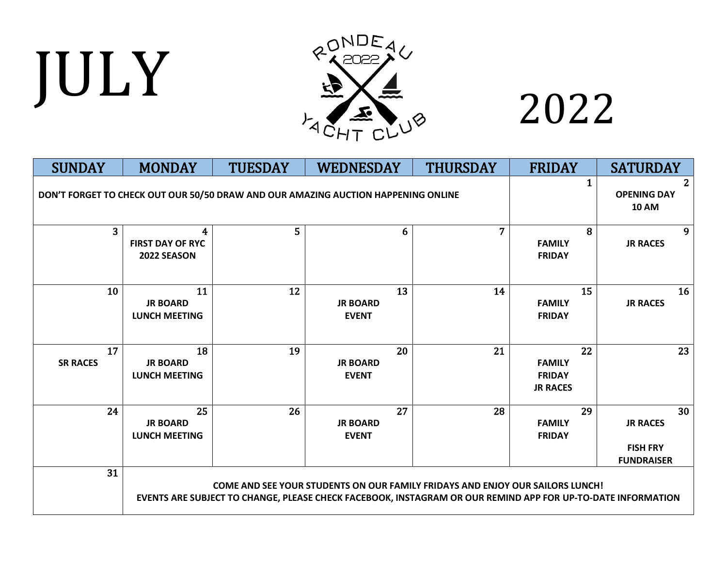# JULY



| <b>SUNDAY</b>                                                                     | <b>MONDAY</b>                                 | <b>TUESDAY</b> | <b>WEDNESDAY</b>                      | <b>THURSDAY</b>                                                                                                                                                                                     | <b>FRIDAY</b>                                           | <b>SATURDAY</b>                                               |
|-----------------------------------------------------------------------------------|-----------------------------------------------|----------------|---------------------------------------|-----------------------------------------------------------------------------------------------------------------------------------------------------------------------------------------------------|---------------------------------------------------------|---------------------------------------------------------------|
| DON'T FORGET TO CHECK OUT OUR 50/50 DRAW AND OUR AMAZING AUCTION HAPPENING ONLINE |                                               |                |                                       |                                                                                                                                                                                                     |                                                         | 2.<br><b>OPENING DAY</b><br><b>10 AM</b>                      |
| $\overline{3}$                                                                    | 4<br><b>FIRST DAY OF RYC</b><br>2022 SEASON   | 5              |                                       | 6<br>7                                                                                                                                                                                              | 8<br><b>FAMILY</b><br><b>FRIDAY</b>                     | 9<br><b>JR RACES</b>                                          |
| 10                                                                                | 11<br><b>JR BOARD</b><br><b>LUNCH MEETING</b> | 12             | <b>JR BOARD</b><br><b>EVENT</b>       | 13<br>14                                                                                                                                                                                            | 15<br><b>FAMILY</b><br><b>FRIDAY</b>                    | 16<br><b>JR RACES</b>                                         |
| 17<br><b>SR RACES</b>                                                             | 18<br><b>JR BOARD</b><br><b>LUNCH MEETING</b> | 19             | 20<br><b>JR BOARD</b><br><b>EVENT</b> | 21                                                                                                                                                                                                  | 22<br><b>FAMILY</b><br><b>FRIDAY</b><br><b>JR RACES</b> | 23                                                            |
| 24                                                                                | 25<br><b>JR BOARD</b><br><b>LUNCH MEETING</b> | 26             | 27<br><b>JR BOARD</b><br><b>EVENT</b> | 28                                                                                                                                                                                                  | 29<br><b>FAMILY</b><br><b>FRIDAY</b>                    | 30<br><b>JR RACES</b><br><b>FISH FRY</b><br><b>FUNDRAISER</b> |
| 31                                                                                |                                               |                |                                       | <b>COME AND SEE YOUR STUDENTS ON OUR FAMILY FRIDAYS AND ENJOY OUR SAILORS LUNCH!</b><br>EVENTS ARE SUBJECT TO CHANGE, PLEASE CHECK FACEBOOK, INSTAGRAM OR OUR REMIND APP FOR UP-TO-DATE INFORMATION |                                                         |                                                               |